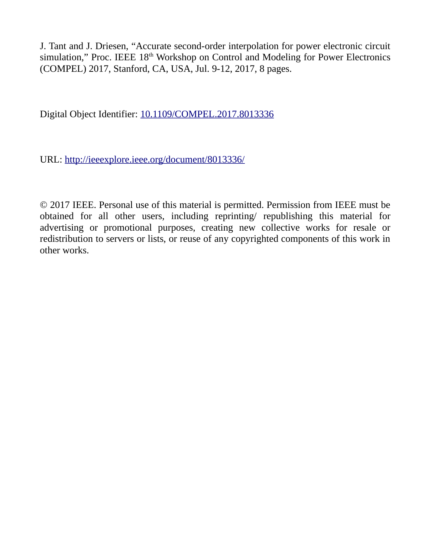J. Tant and J. Driesen, "Accurate second-order interpolation for power electronic circuit simulation," Proc. IEEE 18<sup>th</sup> Workshop on Control and Modeling for Power Electronics (COMPEL) 2017, Stanford, CA, USA, Jul. 9-12, 2017, 8 pages.

Digital Object Identifier: 10.1109/COMPEL.2017.8013336

URL: http://ieeexplore.ieee.org/document/8013336/

© 2017 IEEE. Personal use of this material is permitted. Permission from IEEE must be obtained for all other users, including reprinting/ republishing this material for advertising or promotional purposes, creating new collective works for resale or redistribution to servers or lists, or reuse of any copyrighted components of this work in other works.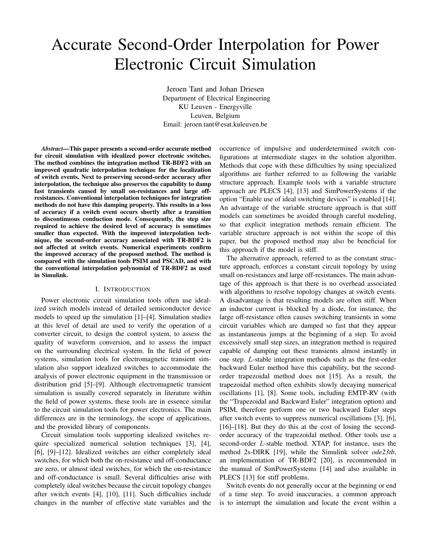# Accurate Second-Order Interpolation for Power Electronic Circuit Simulation

Jeroen Tant and Johan Driesen Department of Electrical Engineering KU Leuven - Energyville Leuven, Belgium Email: jeroen.tant@esat.kuleuven.be

*Abstract*—This paper presents a second-order accurate method for circuit simulation with idealized power electronic switches. The method combines the integration method TR-BDF2 with an improved quadratic interpolation technique for the localization of switch events. Next to preserving second-order accuracy after interpolation, the technique also preserves the capability to damp fast transients caused by small on-resistances and large offresistances. Conventional interpolation techniques for integration methods do not have this damping property. This results in a loss of accuracy if a switch event occurs shortly after a transition to discontinuous conduction mode. Consequently, the step size required to achieve the desired level of accuracy is sometimes smaller than expected. With the improved interpolation technique, the second-order accuracy associated with TR-BDF2 is not affected at switch events. Numerical experiments confirm the improved accuracy of the proposed method. The method is compared with the simulation tools PSIM and PSCAD, and with the conventional interpolation polynomial of TR-BDF2 as used in Simulink.

#### I. INTRODUCTION

Power electronic circuit simulation tools often use idealized switch models instead of detailed semiconductor device models to speed up the simulation [1]–[4]. Simulation studies at this level of detail are used to verify the operation of a converter circuit, to design the control system, to assess the quality of waveform conversion, and to assess the impact on the surrounding electrical system. In the field of power systems, simulation tools for electromagnetic transient simulation also support idealized switches to accommodate the analysis of power electronic equipment in the transmission or distribution grid [5]–[9]. Although electromagnetic transient simulation is usually covered separately in literature within the field of power systems, these tools are in essence similar to the circuit simulation tools for power electronics. The main differences are in the terminology, the scope of applications, and the provided library of components.

Circuit simulation tools supporting idealized switches require specialized numerical solution techniques [3], [4], [6], [9]–[12]. Idealized switches are either completely ideal switches, for which both the on-resistance and off-conductance are zero, or almost ideal switches, for which the on-resistance and off-conductance is small. Several difficulties arise with completely ideal switches because the circuit topology changes after switch events [4], [10], [11]. Such difficulties include changes in the number of effective state variables and the

occurrence of impulsive and underdetermined switch configurations at intermediate stages in the solution algorithm. Methods that cope with these difficulties by using specialized algorithms are further referred to as following the variable structure approach. Example tools with a variable structure approach are PLECS [4], [13] and SimPowerSystems if the option "Enable use of ideal switching devices" is enabled [14]. An advantage of the variable structure approach is that stiff models can sometimes be avoided through careful modeling, so that explicit integration methods remain efficient. The variable structure approach is not within the scope of this paper, but the proposed method may also be beneficial for this approach if the model is stiff.

The alternative approach, referred to as the constant structure approach, enforces a constant circuit topology by using small on-resistances and large off-resistances. The main advantage of this approach is that there is no overhead associated with algorithms to resolve topology changes at switch events. A disadvantage is that resulting models are often stiff. When an inductor current is blocked by a diode, for instance, the large off-resistance often causes switching transients in some circuit variables which are damped so fast that they appear as instantaneous jumps at the beginning of a step. To avoid excessively small step sizes, an integration method is required capable of damping out these transients almost instantly in one step. L-stable integration methods such as the first-order backward Euler method have this capability, but the secondorder trapezoidal method does not [15]. As a result, the trapezoidal method often exhibits slowly decaying numerical oscillations [1], [8]. Some tools, including EMTP-RV (with the "Trapezoidal and Backward Euler" integration option) and PSIM, therefore perform one or two backward Euler steps after switch events to suppress numerical oscillations [3], [6], [16]–[18]. But they do this at the cost of losing the secondorder accuracy of the trapezoidal method. Other tools use a second-order L-stable method. XTAP, for instance, uses the method 2s-DIRK [19], while the Simulink solver *ode23tb*, an implementation of TR-BDF2 [20], is recommended in the manual of SimPowerSystems [14] and also available in PLECS [13] for stiff problems.

Switch events do not generally occur at the beginning or end of a time step. To avoid inaccuracies, a common approach is to interrupt the simulation and locate the event within a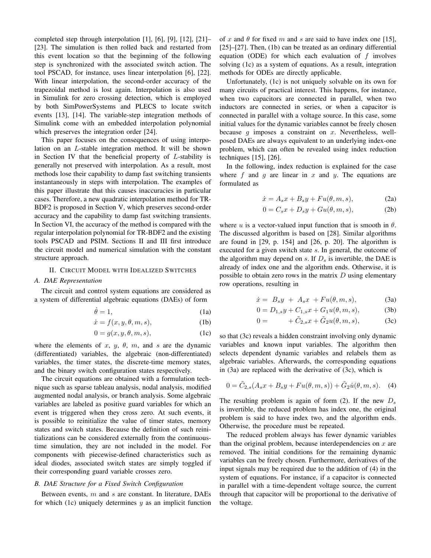completed step through interpolation [1], [6], [9], [12], [21]– [23]. The simulation is then rolled back and restarted from this event location so that the beginning of the following step is synchronized with the associated switch action. The tool PSCAD, for instance, uses linear interpolation [6], [22]. With linear interpolation, the second-order accuracy of the trapezoidal method is lost again. Interpolation is also used in Simulink for zero crossing detection, which is employed by both SimPowerSystems and PLECS to locate switch events [13], [14]. The variable-step integration methods of Simulink come with an embedded interpolation polynomial which preserves the integration order [24].

This paper focuses on the consequences of using interpolation on an L-stable integration method. It will be shown in Section IV that the beneficial property of L-stability is generally not preserved with interpolation. As a result, most methods lose their capability to damp fast switching transients instantaneously in steps with interpolation. The examples of this paper illustrate that this causes inaccuracies in particular cases. Therefore, a new quadratic interpolation method for TR-BDF2 is proposed in Section V, which preserves second-order accuracy and the capability to damp fast switching transients. In Section VI, the accuracy of the method is compared with the regular interpolation polynomial for TR-BDF2 and the existing tools PSCAD and PSIM. Sections II and III first introduce the circuit model and numerical simulation with the constant structure approach.

## II. CIRCUIT MODEL WITH IDEALIZED SWITCHES

## *A. DAE Representation*

The circuit and control system equations are considered as a system of differential algebraic equations (DAEs) of form

$$
\dot{\theta} = 1,\tag{1a}
$$

$$
\dot{x} = f(x, y, \theta, m, s), \tag{1b}
$$

$$
0 = g(x, y, \theta, m, s), \tag{1c}
$$

where the elements of x, y,  $\theta$ , m, and s are the dynamic (differentiated) variables, the algebraic (non-differentiated) variables, the timer states, the discrete-time memory states, and the binary switch configuration states respectively.

The circuit equations are obtained with a formulation technique such as sparse tableau analysis, nodal analysis, modified augmented nodal analysis, or branch analysis. Some algebraic variables are labeled as positive guard variables for which an event is triggered when they cross zero. At such events, it is possible to reinitialize the value of timer states, memory states and switch states. Because the definition of such reinitializations can be considered externally from the continuoustime simulation, they are not included in the model. For components with piecewise-defined characteristics such as ideal diodes, associated switch states are simply toggled if their corresponding guard variable crosses zero.

## *B. DAE Structure for a Fixed Switch Configuration*

Between events,  $m$  and  $s$  are constant. In literature, DAEs for which (1c) uniquely determines  $y$  as an implicit function

of x and  $\theta$  for fixed m and s are said to have index one [15], [25]–[27]. Then, (1b) can be treated as an ordinary differential equation (ODE) for which each evaluation of  $f$  involves solving (1c) as a system of equations. As a result, integration methods for ODEs are directly applicable.

Unfortunately, (1c) is not uniquely solvable on its own for many circuits of practical interest. This happens, for instance, when two capacitors are connected in parallel, when two inductors are connected in series, or when a capacitor is connected in parallel with a voltage source. In this case, some initial values for the dynamic variables cannot be freely chosen because q imposes a constraint on  $x$ . Nevertheless, wellposed DAEs are always equivalent to an underlying index-one problem, which can often be revealed using index reduction techniques [15], [26].

In the following, index reduction is explained for the case where f and g are linear in x and y. The equations are formulated as

$$
\dot{x} = A_s x + B_s y + Fu(\theta, m, s), \tag{2a}
$$

$$
0 = C_s x + D_s y + Gu(\theta, m, s), \tag{2b}
$$

where u is a vector-valued input function that is smooth in  $\theta$ . The discussed algorithm is based on [28]. Similar algorithms are found in  $[29, p. 154]$  and  $[26, p. 20]$ . The algorithm is executed for a given switch state s. In general, the outcome of the algorithm may depend on s. If  $D_s$  is invertible, the DAE is already of index one and the algorithm ends. Otherwise, it is possible to obtain zero rows in the matrix  $D$  using elementary row operations, resulting in

$$
\dot{x} = B_s y + A_s x + Fu(\theta, m, s), \tag{3a}
$$

$$
0 = D_{1,s}y + C_{1,s}x + G_1u(\theta, m, s), \tag{3b}
$$

$$
0 = +\tilde{C}_{2,s}x + \tilde{G}_2u(\theta, m, s), \qquad (3c)
$$

so that (3c) reveals a hidden constraint involving only dynamic variables and known input variables. The algorithm then selects dependent dynamic variables and relabels them as algebraic variables. Afterwards, the corresponding equations in (3a) are replaced with the derivative of (3c), which is

$$
0 = \tilde{C}_{2,s}(A_s x + B_s y + Fu(\theta, m, s)) + \tilde{G}_2 \dot{u}(\theta, m, s).
$$
 (4)

The resulting problem is again of form (2). If the new  $D_s$ is invertible, the reduced problem has index one, the original problem is said to have index two, and the algorithm ends. Otherwise, the procedure must be repeated.

The reduced problem always has fewer dynamic variables than the original problem, because interdependencies on  $x$  are removed. The initial conditions for the remaining dynamic variables can be freely chosen. Furthermore, derivatives of the input signals may be required due to the addition of (4) in the system of equations. For instance, if a capacitor is connected in parallel with a time-dependent voltage source, the current through that capacitor will be proportional to the derivative of the voltage.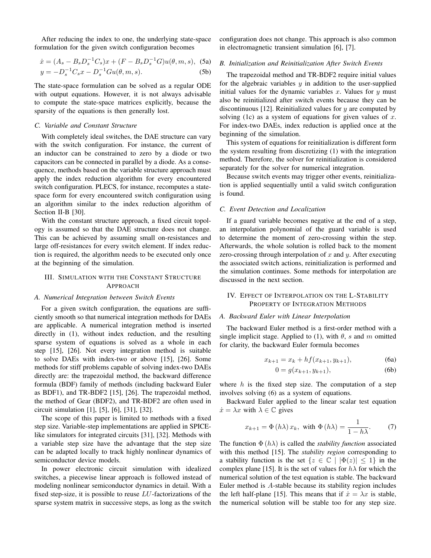After reducing the index to one, the underlying state-space formulation for the given switch configuration becomes

$$
\dot{x} = (A_s - B_s D_s^{-1} C_s) x + (F - B_s D_s^{-1} G) u(\theta, m, s),
$$
 (5a)

$$
y = -D_s^{-1}C_s x - D_s^{-1}Gu(\theta, m, s).
$$
 (5b)

The state-space formulation can be solved as a regular ODE with output equations. However, it is not always advisable to compute the state-space matrices explicitly, because the sparsity of the equations is then generally lost.

## *C. Variable and Constant Structure*

With completely ideal switches, the DAE structure can vary with the switch configuration. For instance, the current of an inductor can be constrained to zero by a diode or two capacitors can be connected in parallel by a diode. As a consequence, methods based on the variable structure approach must apply the index reduction algorithm for every encountered switch configuration. PLECS, for instance, recomputes a statespace form for every encountered switch configuration using an algorithm similar to the index reduction algorithm of Section II-B [30].

With the constant structure approach, a fixed circuit topology is assumed so that the DAE structure does not change. This can be achieved by assuming small on-resistances and large off-resistances for every switch element. If index reduction is required, the algorithm needs to be executed only once at the beginning of the simulation.

# III. SIMULATION WITH THE CONSTANT STRUCTURE APPROACH

## *A. Numerical Integration between Switch Events*

For a given switch configuration, the equations are sufficiently smooth so that numerical integration methods for DAEs are applicable. A numerical integration method is inserted directly in (1), without index reduction, and the resulting sparse system of equations is solved as a whole in each step [15], [26]. Not every integration method is suitable to solve DAEs with index-two or above [15], [26]. Some methods for stiff problems capable of solving index-two DAEs directly are: the trapezoidal method, the backward difference formula (BDF) family of methods (including backward Euler as BDF1), and TR-BDF2 [15], [26]. The trapezoidal method, the method of Gear (BDF2), and TR-BDF2 are often used in circuit simulation [1], [5], [6], [31], [32].

The scope of this paper is limited to methods with a fixed step size. Variable-step implementations are applied in SPICElike simulators for integrated circuits [31], [32]. Methods with a variable step size have the advantage that the step size can be adapted locally to track highly nonlinear dynamics of semiconductor device models.

In power electronic circuit simulation with idealized switches, a piecewise linear approach is followed instead of modeling nonlinear semiconductor dynamics in detail. With a fixed step-size, it is possible to reuse  $LU$ -factorizations of the sparse system matrix in successive steps, as long as the switch configuration does not change. This approach is also common in electromagnetic transient simulation [6], [7].

# *B. Initialization and Reinitialization After Switch Events*

The trapezoidal method and TR-BDF2 require initial values for the algebraic variables  $y$  in addition to the user-supplied initial values for the dynamic variables  $x$ . Values for  $y$  must also be reinitialized after switch events because they can be discontinuous [12]. Reinitialized values for  $y$  are computed by solving (1c) as a system of equations for given values of  $x$ . For index-two DAEs, index reduction is applied once at the beginning of the simulation.

This system of equations for reinitialization is different form the system resulting from discretizing (1) with the integration method. Therefore, the solver for reinitialization is considered separately for the solver for numerical integration.

Because switch events may trigger other events, reinitialization is applied sequentially until a valid switch configuration is found.

## *C. Event Detection and Localization*

If a guard variable becomes negative at the end of a step, an interpolation polynomial of the guard variable is used to determine the moment of zero-crossing within the step. Afterwards, the whole solution is rolled back to the moment zero-crossing through interpolation of  $x$  and  $y$ . After executing the associated switch actions, reinitialization is performed and the simulation continues. Some methods for interpolation are discussed in the next section.

# IV. EFFECT OF INTERPOLATION ON THE L-STABILITY PROPERTY OF INTEGRATION METHODS

#### *A. Backward Euler with Linear Interpolation*

The backward Euler method is a first-order method with a single implicit stage. Applied to (1), with  $\theta$ , s and m omitted for clarity, the backward Euler formula becomes

$$
x_{k+1} = x_k + h f(x_{k+1}, y_{k+1}),
$$
 (6a)

$$
0 = g(x_{k+1}, y_{k+1}),
$$
 (6b)

where  $h$  is the fixed step size. The computation of a step involves solving (6) as a system of equations.

Backward Euler applied to the linear scalar test equation  $\dot{x} = \lambda x$  with  $\lambda \in \mathbb{C}$  gives

$$
x_{k+1} = \Phi(h\lambda) x_k, \text{ with } \Phi(h\lambda) = \frac{1}{1 - h\lambda}.
$$
 (7)

The function  $\Phi(h\lambda)$  is called the *stability function* associated with this method [15]. The *stability region* corresponding to a stability function is the set  $\{z \in \mathbb{C} \mid |\Phi(z)| \leq 1\}$  in the complex plane [15]. It is the set of values for  $h\lambda$  for which the numerical solution of the test equation is stable. The backward Euler method is A-stable because its stability region includes the left half-plane [15]. This means that if  $\dot{x} = \lambda x$  is stable, the numerical solution will be stable too for any step size.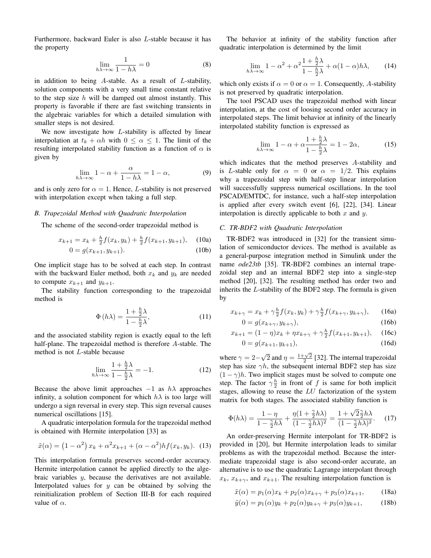Furthermore, backward Euler is also L-stable because it has the property

$$
\lim_{h\lambda \to \infty} \frac{1}{1 - h\lambda} = 0
$$
 (8)

in addition to being  $A$ -stable. As a result of  $L$ -stability, solution components with a very small time constant relative to the step size  $h$  will be damped out almost instantly. This property is favorable if there are fast switching transients in the algebraic variables for which a detailed simulation with smaller steps is not desired.

We now investigate how  $L$ -stability is affected by linear interpolation at  $t_k + \alpha h$  with  $0 \leq \alpha \leq 1$ . The limit of the resulting interpolated stability function as a function of  $\alpha$  is given by

$$
\lim_{h\lambda \to \infty} 1 - \alpha + \frac{\alpha}{1 - h\lambda} = 1 - \alpha,\tag{9}
$$

and is only zero for  $\alpha = 1$ . Hence, L-stability is not preserved with interpolation except when taking a full step.

## *B. Trapezoidal Method with Quadratic Interpolation*

The scheme of the second-order trapezoidal method is

$$
x_{k+1} = x_k + \frac{h}{2} f(x_k, y_k) + \frac{h}{2} f(x_{k+1}, y_{k+1}), \quad \text{(10a)}
$$
  

$$
0 = g(x_{k+1}, y_{k+1}). \quad \text{(10b)}
$$

One implicit stage has to be solved at each step. In contrast with the backward Euler method, both  $x_k$  and  $y_k$  are needed to compute  $x_{k+1}$  and  $y_{k+1}$ .

The stability function corresponding to the trapezoidal method is

$$
\Phi(h\lambda) = \frac{1 + \frac{h}{2}\lambda}{1 - \frac{h}{2}\lambda},\tag{11}
$$

and the associated stability region is exactly equal to the left half-plane. The trapezoidal method is therefore A-stable. The method is not L-stable because

$$
\lim_{h\lambda \to \infty} \frac{1 + \frac{h}{2}\lambda}{1 - \frac{h}{2}\lambda} = -1.
$$
 (12)

Because the above limit approaches  $-1$  as  $h\lambda$  approaches infinity, a solution component for which  $h\lambda$  is too large will undergo a sign reversal in every step. This sign reversal causes numerical oscillations [15].

A quadratic interpolation formula for the trapezoidal method is obtained with Hermite interpolation [33] as

$$
\tilde{x}(\alpha) = \left(1 - \alpha^2\right)x_k + \alpha^2 x_{k+1} + (\alpha - \alpha^2)hf(x_k, y_k). \tag{13}
$$

This interpolation formula preserves second-order accuracy. Hermite interpolation cannot be applied directly to the algebraic variables y, because the derivatives are not available. Interpolated values for  $y$  can be obtained by solving the reinitialization problem of Section III-B for each required value of  $\alpha$ .

The behavior at infinity of the stability function after quadratic interpolation is determined by the limit

$$
\lim_{h\lambda \to \infty} 1 - \alpha^2 + \alpha^2 \frac{1 + \frac{h}{2}\lambda}{1 - \frac{h}{2}\lambda} + \alpha (1 - \alpha) h\lambda, \qquad (14)
$$

which only exists if  $\alpha = 0$  or  $\alpha = 1$ . Consequently, A-stability is not preserved by quadratic interpolation.

The tool PSCAD uses the trapezoidal method with linear interpolation, at the cost of loosing second order accuracy in interpolated steps. The limit behavior at infinity of the linearly interpolated stability function is expressed as

$$
\lim_{h\lambda \to \infty} 1 - \alpha + \alpha \frac{1 + \frac{h}{2}\lambda}{1 - \frac{h}{2}\lambda} = 1 - 2\alpha,\tag{15}
$$

which indicates that the method preserves A-stability and is L-stable only for  $\alpha = 0$  or  $\alpha = 1/2$ . This explains why a trapezoidal step with half-step linear interpolation will successfully suppress numerical oscillations. In the tool PSCAD/EMTDC, for instance, such a half-step interpolation is applied after every switch event [6], [22], [34]. Linear interpolation is directly applicable to both  $x$  and  $y$ .

## *C. TR-BDF2 with Quadratic Interpolation*

TR-BDF2 was introduced in [32] for the transient simulation of semiconductor devices. The method is available as a general-purpose integration method in Simulink under the name *ode23tb* [35]. TR-BDF2 combines an internal trapezoidal step and an internal BDF2 step into a single-step method [20], [32]. The resulting method has order two and inherits the L-stability of the BDF2 step. The formula is given by

$$
x_{k+\gamma} = x_k + \gamma \frac{h}{2} f(x_k, y_k) + \gamma \frac{h}{2} f(x_{k+\gamma}, y_{k+\gamma}), \qquad (16a)
$$

$$
0 = g(x_{k+\gamma}, y_{k+\gamma}),\tag{16b}
$$

$$
x_{k+1} = (1 - \eta)x_k + \eta x_{k+\gamma} + \gamma \frac{h}{2} f(x_{k+1}, y_{k+1}), \quad (16c)
$$

$$
0 = g(x_{k+1}, y_{k+1}), \tag{16d}
$$

where  $\gamma = 2 - \sqrt{2}$  and  $\eta = \frac{1 + \sqrt{2}}{2}$  [32]. The internal trapezoidal step has size  $\gamma h$ , the subsequent internal BDF2 step has size  $(1 - \gamma)h$ . Two implicit stages must be solved to compute one step. The factor  $\gamma \frac{h}{2}$  in front of f is same for both implicit stages, allowing to reuse the  $LU$  factorization of the system matrix for both stages. The associated stability function is

$$
\Phi(h\lambda) = \frac{1-\eta}{1-\frac{\gamma}{2}h\lambda} + \frac{\eta(1+\frac{\gamma}{2}h\lambda)}{(1-\frac{\gamma}{2}h\lambda)^2} = \frac{1+\sqrt{2}\frac{\gamma}{2}h\lambda}{(1-\frac{\gamma}{2}h\lambda)^2}.
$$
 (17)

An order-preserving Hermite interpolant for TR-BDF2 is provided in [20], but Hermite interpolation leads to similar problems as with the trapezoidal method. Because the intermediate trapezoidal stage is also second-order accurate, an alternative is to use the quadratic Lagrange interpolant through  $x_k$ ,  $x_{k+\gamma}$ , and  $x_{k+1}$ . The resulting interpolation function is

$$
\tilde{x}(\alpha) = p_1(\alpha)x_k + p_2(\alpha)x_{k+\gamma} + p_3(\alpha)x_{k+1}, \quad (18a)
$$

$$
\tilde{y}(\alpha) = p_1(\alpha)y_k + p_2(\alpha)y_{k+\gamma} + p_3(\alpha)y_{k+1},\tag{18b}
$$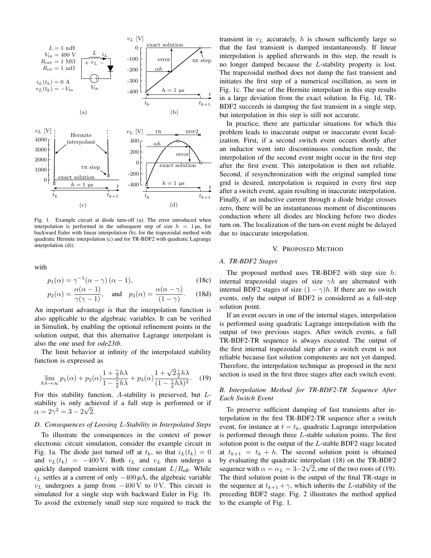

Fig. 1. Example circuit at diode turn-off (a). The error introduced when interpolation is performed in the subsequent step of size  $h = 1 \,\mu s$ , for backward Euler with linear interpolation (b), for the trapezoidal method with quadratic Hermite interpolation (c) and for TR-BDF2 with quadratic Lagrange interpolation (d)).

with

$$
p_1(\alpha) = \gamma^{-1}(\alpha - \gamma) (\alpha - 1), \qquad (18c)
$$

$$
p_2(\alpha) = \frac{\alpha(\alpha - 1)}{\gamma(\gamma - 1)}
$$
, and  $p_3(\alpha) = \frac{\alpha(\alpha - \gamma)}{(1 - \gamma)}$ . (18d)

An important advantage is that the interpolation function is also applicable to the algebraic variables. It can be verified in Simulink, by enabling the optional refinement points in the solution output, that this alternative Lagrange interpolant is also the one used for *ode23tb*.

The limit behavior at infinity of the interpolated stability function is expressed as

$$
\lim_{h\lambda \to \infty} p_1(\alpha) + p_2(\alpha) \frac{1 + \frac{\gamma}{2}h\lambda}{1 - \frac{\gamma}{2}h\lambda} + p_3(\alpha) \frac{1 + \sqrt{2}\frac{\gamma}{2}h\lambda}{(1 - \frac{\gamma}{2}h\lambda)^2}.
$$
 (19)

For this stability function, A-stability is preserved, but Lstability is only achieved if a full step is performed or if  $\alpha = 2\gamma^2 = 3 - 2\sqrt{2}.$ 

## *D. Consequences of Loosing* L*-Stability in Interpolated Steps*

To illustrate the consequences in the context of power electronic circuit simulation, consider the example circuit in Fig. 1a. The diode just turned off at  $t_k$ , so that  $i_L(t_k) = 0$ and  $v_L(t_k) = -400 \text{ V}$ . Both  $i_L$  and  $v_L$  then undergo a quickly damped transient with time constant  $L/R<sub>off</sub>$ . While  $i_L$  settles at a current of only  $-400 \mu A$ , the algebraic variable  $v<sub>L</sub>$  undergoes a jump from  $-400 \text{ V}$  to 0 V. This circuit is simulated for a single step with backward Euler in Fig. 1b. To avoid the extremely small step size required to track the transient in  $v_L$  accurately, h is chosen sufficiently large so that the fast transient is damped instantaneously. If linear interpolation is applied afterwards in this step, the result is no longer damped because the L-stability property is lost. The trapezoidal method does not damp the fast transient and initiates the first step of a numerical oscillation, as seen in Fig. 1c. The use of the Hermite interpolant in this step results in a large deviation from the exact solution. In Fig. 1d, TR-BDF2 succeeds in damping the fast transient in a single step, but interpolation in this step is still not accurate.

In practice, there are particular situations for which this problem leads to inaccurate output or inaccurate event localization. First, if a second switch event occurs shortly after an inductor went into discontinuous conduction mode, the interpolation of the second event might occur in the first step after the first event. This interpolation is then not reliable. Second, if resynchronization with the original sampled time grid is desired, interpolation is required in every first step after a switch event, again resulting in inaccurate interpolation. Finally, if an inductive current through a diode bridge crosses zero, there will be an instantaneous moment of discontinuous conduction where all diodes are blocking before two diodes turn on. The localization of the turn-on event might be delayed due to inaccurate interpolation.

#### V. PROPOSED METHOD

## *A. TR-BDF2 Stages*

The proposed method uses  $TR-BDF2$  with step size h: internal trapezoidal stages of size  $\gamma h$  are alternated with internal BDF2 stages of size  $(1 - \gamma)h$ . If there are no switch events, only the output of BDF2 is considered as a full-step solution point.

If an event occurs in one of the internal stages, interpolation is performed using quadratic Lagrange interpolation with the output of two previous stages. After switch events, a full TR-BDF2-TR sequence is always executed. The output of the first internal trapezoidal step after a switch event is not reliable because fast solution components are not yet damped. Therefore, the interpolation technique as proposed in the next section is used in the first three stages after each switch event.

# *B. Interpolation Method for TR-BDF2-TR Sequence After Each Switch Event*

To preserve sufficient damping of fast transients after interpolation in the first TR-BDF2-TR sequence after a switch event, for instance at  $t = t_k$ , quadratic Lagrange interpolation is performed through three  $L$ -stable solution points. The first solution point is the output of the L-stable BDF2 stage located at  $t_{k+1} = t_k + h$ . The second solution point is obtained by evaluating the quadratic interpolant (18) on the TR-BDF2 sequence with  $\alpha = \alpha_L = 3 - 2\sqrt{2}$ , one of the two roots of (19). The third solution point is the output of the final TR-stage in the sequence at  $t_{k+1} + \gamma$ , which inherits the L-stability of the preceding BDF2 stage. Fig. 2 illustrates the method applied to the example of Fig. 1.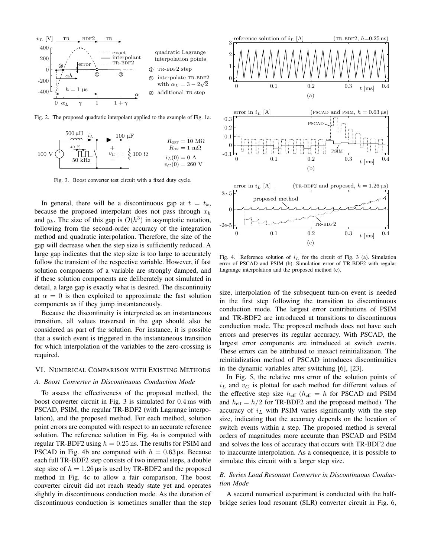

Fig. 2. The proposed quadratic interpolant applied to the example of Fig. 1a.



Fig. 3. Boost converter test circuit with a fixed duty cycle.

In general, there will be a discontinuous gap at  $t = t_k$ , because the proposed interpolant does not pass through  $x_k$ and  $y_k$ . The size of this gap is  $O(h^3)$  in asymptotic notation, following from the second-order accuracy of the integration method and quadratic interpolation. Therefore, the size of the gap will decrease when the step size is sufficiently reduced. A large gap indicates that the step size is too large to accurately follow the transient of the respective variable. However, if fast solution components of a variable are strongly damped, and if these solution components are deliberately not simulated in detail, a large gap is exactly what is desired. The discontinuity at  $\alpha = 0$  is then exploited to approximate the fast solution components as if they jump instantaneously.

Because the discontinuity is interpreted as an instantaneous transition, all values traversed in the gap should also be considered as part of the solution. For instance, it is possible that a switch event is triggered in the instantaneous transition for which interpolation of the variables to the zero-crossing is required.

#### VI. NUMERICAL COMPARISON WITH EXISTING METHODS

#### *A. Boost Converter in Discontinuous Conduction Mode*

To assess the effectiveness of the proposed method, the boost converter circuit in Fig. 3 is simulated for 0.4 ms with PSCAD, PSIM, the regular TR-BDF2 (with Lagrange interpolation), and the proposed method. For each method, solution point errors are computed with respect to an accurate reference solution. The reference solution in Fig. 4a is computed with regular TR-BDF2 using  $h = 0.25$  ns. The results for PSIM and PSCAD in Fig. 4b are computed with  $h = 0.63 \,\mu s$ . Because each full TR-BDF2 step consists of two internal steps, a double step size of  $h = 1.26 \,\mu s$  is used by TR-BDF2 and the proposed method in Fig. 4c to allow a fair comparison. The boost converter circuit did not reach steady state yet and operates slightly in discontinuous conduction mode. As the duration of discontinuous conduction is sometimes smaller than the step



Fig. 4. Reference solution of  $i<sub>L</sub>$  for the circuit of Fig. 3 (a). Simulation error of PSCAD and PSIM (b). Simulation error of TR-BDF2 with regular Lagrange interpolation and the proposed method (c).

size, interpolation of the subsequent turn-on event is needed in the first step following the transition to discontinuous conduction mode. The largest error contributions of PSIM and TR-BDF2 are introduced at transitions to discontinuous conduction mode. The proposed methods does not have such errors and preserves its regular accuracy. With PSCAD, the largest error components are introduced at switch events. These errors can be attributed to inexact reinitialization. The reinitialization method of PSCAD introduces discontinuities in the dynamic variables after switching [6], [23].

In Fig. 5, the relative rms error of the solution points of  $i_L$  and  $v_C$  is plotted for each method for different values of the effective step size  $h_{\text{eff}}$  ( $h_{\text{eff}} = h$  for PSCAD and PSIM and  $h_{\text{eff}} = h/2$  for TR-BDF2 and the proposed method). The accuracy of  $i_L$  with PSIM varies significantly with the step size, indicating that the accuracy depends on the location of switch events within a step. The proposed method is several orders of magnitudes more accurate than PSCAD and PSIM and solves the loss of accuracy that occurs with TR-BDF2 due to inaccurate interpolation. As a consequence, it is possible to simulate this circuit with a larger step size.

# *B. Series Load Resonant Converter in Discontinuous Conduction Mode*

A second numerical experiment is conducted with the halfbridge series load resonant (SLR) converter circuit in Fig. 6,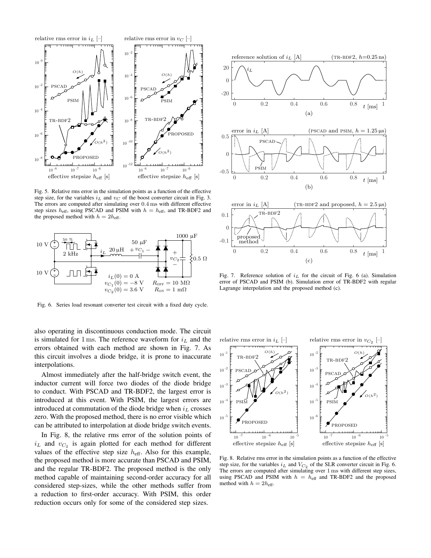

Fig. 5. Relative rms error in the simulation points as a function of the effective step size, for the variables  $i_L$  and  $v_C$  of the boost converter circuit in Fig. 3. The errors are computed after simulating over 0.4 ms with different effective step sizes  $h_{\text{eff}}$ , using PSCAD and PSIM with  $h = h_{\text{eff}}$ , and TR-BDF2 and the proposed method with  $h = 2h_{\text{eff}}$ .



Fig. 6. Series load resonant converter test circuit with a fixed duty cycle.

also operating in discontinuous conduction mode. The circuit is simulated for 1 ms. The reference waveform for  $i<sub>L</sub>$  and the errors obtained with each method are shown in Fig. 7. As this circuit involves a diode bridge, it is prone to inaccurate interpolations.

Almost immediately after the half-bridge switch event, the inductor current will force two diodes of the diode bridge to conduct. With PSCAD and TR-BDF2, the largest error is introduced at this event. With PSIM, the largest errors are introduced at commutation of the diode bridge when  $i<sub>L</sub>$  crosses zero. With the proposed method, there is no error visible which can be attributed to interpolation at diode bridge switch events.

In Fig. 8, the relative rms error of the solution points of  $i_L$  and  $v_{C_2}$  is again plotted for each method for different values of the effective step size  $h_{\text{eff}}$ . Also for this example, the proposed method is more accurate than PSCAD and PSIM, and the regular TR-BDF2. The proposed method is the only method capable of maintaining second-order accuracy for all considered step-sizes, while the other methods suffer from a reduction to first-order accuracy. With PSIM, this order reduction occurs only for some of the considered step sizes.





Fig. 7. Reference solution of  $i_L$  for the circuit of Fig. 6 (a). Simulation error of PSCAD and PSIM (b). Simulation error of TR-BDF2 with regular Lagrange interpolation and the proposed method (c).



Fig. 8. Relative rms error in the simulation points as a function of the effective step size, for the variables  $i_L$  and  $V_{C_2}$  of the SLR converter circuit in Fig. 6. The errors are computed after simulating over 1 ms with different step sizes, using PSCAD and PSIM with  $h = h_{\text{eff}}$  and TR-BDF2 and the proposed method with  $h = 2h_{\text{eff}}$ .